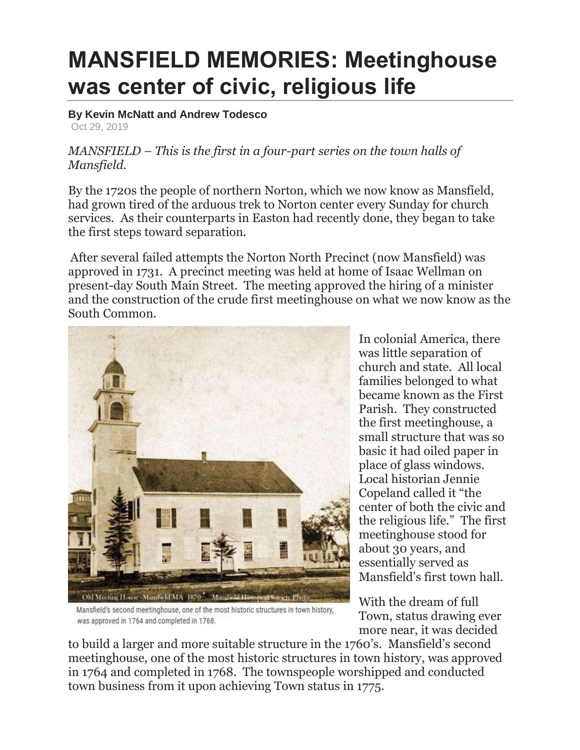## **MANSFIELD MEMORIES: Meetinghouse was center of civic, religious life**

**By Kevin McNatt and Andrew Todesco** Oct 29, 2019

## *MANSFIELD – This is the first in a four-part series on the town halls of Mansfield.*

By the 1720s the people of northern Norton, which we now know as Mansfield, had grown tired of the arduous trek to Norton center every Sunday for church services. As their counterparts in Easton had recently done, they began to take the first steps toward separation.

After several failed attempts the Norton North Precinct (now Mansfield) was approved in 1731. A precinct meeting was held at home of Isaac Wellman on present-day South Main Street. The meeting approved the hiring of a minister and the construction of the crude first meetinghouse on what we now know as the South Common.



Mansfield's second meetinghouse, one of the most historic structures in town history, was approved in 1764 and completed in 1768.

In colonial America, there was little separation of church and state. All local families belonged to what became known as the First Parish. They constructed the first meetinghouse, a small structure that was so basic it had oiled paper in place of glass windows. Local historian Jennie Copeland called it "the center of both the civic and the religious life." The first meetinghouse stood for about 30 years, and essentially served as Mansfield's first town hall.

With the dream of full Town, status drawing ever more near, it was decided

to build a larger and more suitable structure in the 1760's. Mansfield's second meetinghouse, one of the most historic structures in town history, was approved in 1764 and completed in 1768. The townspeople worshipped and conducted town business from it upon achieving Town status in 1775.